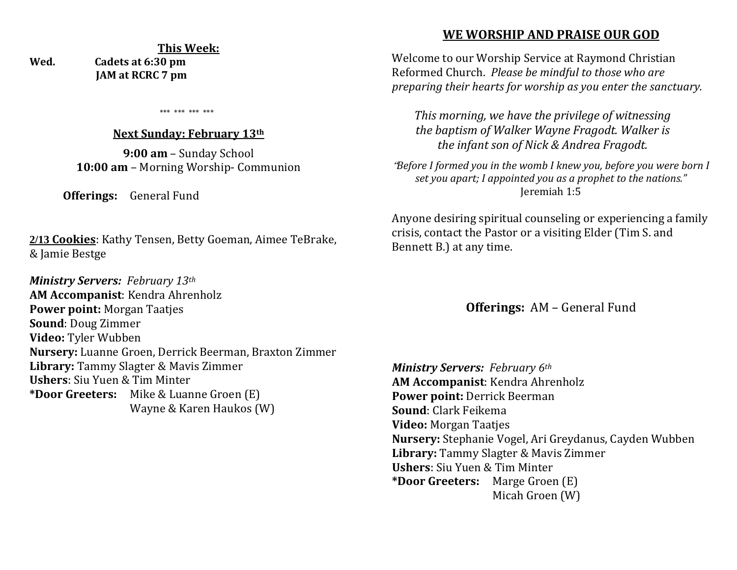**This Week: Wed. Cadets at 6:30 pm JAM at RCRC 7 pm** 

\*\*\* \*\*\* \*\*\* \*\*\*

#### **Next Sunday: February 13th**

**9:00 am** – Sunday School **10:00 am** – Morning Worship- Communion

**Offerings:** General Fund

**2/13 Cookies**: Kathy Tensen, Betty Goeman, Aimee TeBrake, & Jamie Bestge

*Ministry Servers: February 13th*  **AM Accompanist**: Kendra Ahrenholz **Power point:** Morgan Taatjes **Sound**: Doug Zimmer **Video:** Tyler Wubben **Nursery:** Luanne Groen, Derrick Beerman, Braxton Zimmer **Library:** Tammy Slagter & Mavis Zimmer **Ushers**: Siu Yuen & Tim Minter **\*Door Greeters:** Mike & Luanne Groen (E) Wayne & Karen Haukos (W)

## **WE WORSHIP AND PRAISE OUR GOD**

Welcome to our Worship Service at Raymond Christian Reformed Church. *Please be mindful to those who are preparing their hearts for worship as you enter the sanctuary.*

*This morning, we have the privilege of witnessing the baptism of Walker Wayne Fragodt. Walker is the infant son of Nick & Andrea Fragodt.*

"*Before I formed you in the womb I knew you, before you were born I set you apart; I appointed you as a prophet to the nations."* Jeremiah 1:5

Anyone desiring spiritual counseling or experiencing a family crisis, contact the Pastor or a visiting Elder (Tim S. and Bennett B.) at any time.

# **Offerings:** AM – General Fund

*Ministry Servers: February 6th*  **AM Accompanist**: Kendra Ahrenholz **Power point:** Derrick Beerman **Sound**: Clark Feikema **Video:** Morgan Taatjes **Nursery:** Stephanie Vogel, Ari Greydanus, Cayden Wubben **Library:** Tammy Slagter & Mavis Zimmer **Ushers**: Siu Yuen & Tim Minter **\*Door Greeters:** Marge Groen (E) Micah Groen (W)